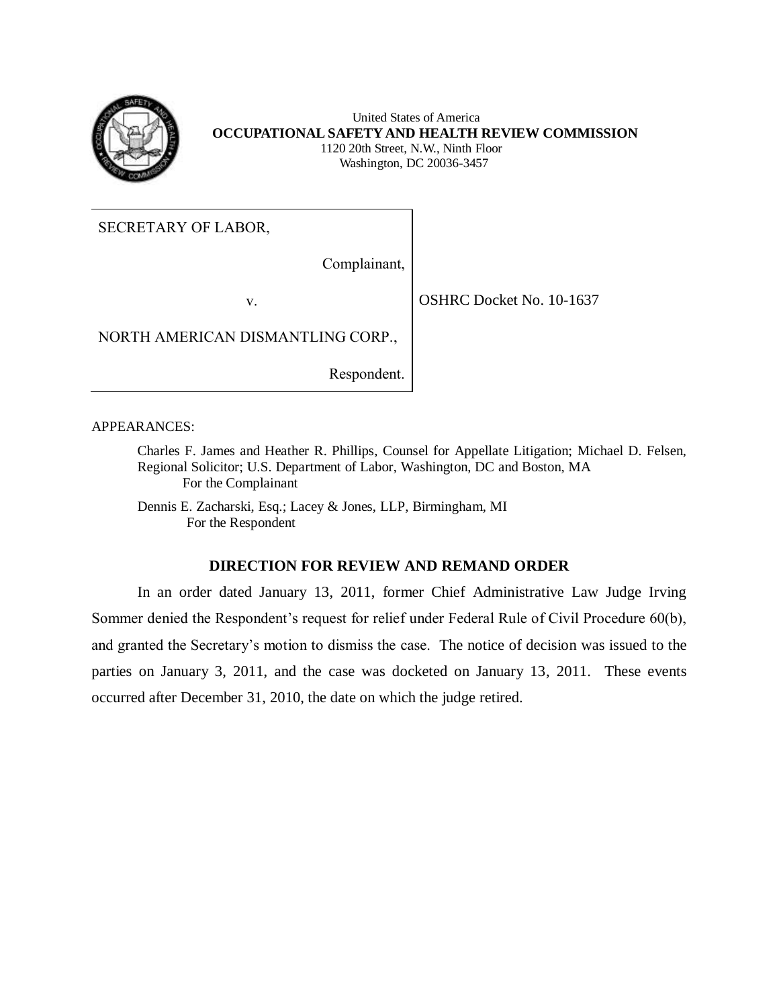

 **OCCUPATIONAL SAFETY AND HEALTH REVIEW COMMISSION**  United States of America 1120 20th Street, N.W., Ninth Floor Washington, DC 20036-3457

SECRETARY OF LABOR,

Complainant,

v. 0SHRC Docket No. 10-1637

NORTH AMERICAN DISMANTLING CORP.,

Respondent.

APPEARANCES:

 Charles F. James and Heather R. Phillips, Counsel for Appellate Litigation; Michael D. Felsen, Regional Solicitor; U.S. Department of Labor, Washington, DC and Boston, MA For the Complainant

 Dennis E. Zacharski, Esq.; Lacey & Jones, LLP, Birmingham, MI For the Respondent

## **DIRECTION FOR REVIEW AND REMAND ORDER**

 In an order dated January 13, 2011, former Chief Administrative Law Judge Irving Sommer denied the Respondent's request for relief under Federal Rule of Civil Procedure 60(b), and granted the Secretary's motion to dismiss the case. The notice of decision was issued to the parties on January 3, 2011, and the case was docketed on January 13, 2011. These events occurred after December 31, 2010, the date on which the judge retired.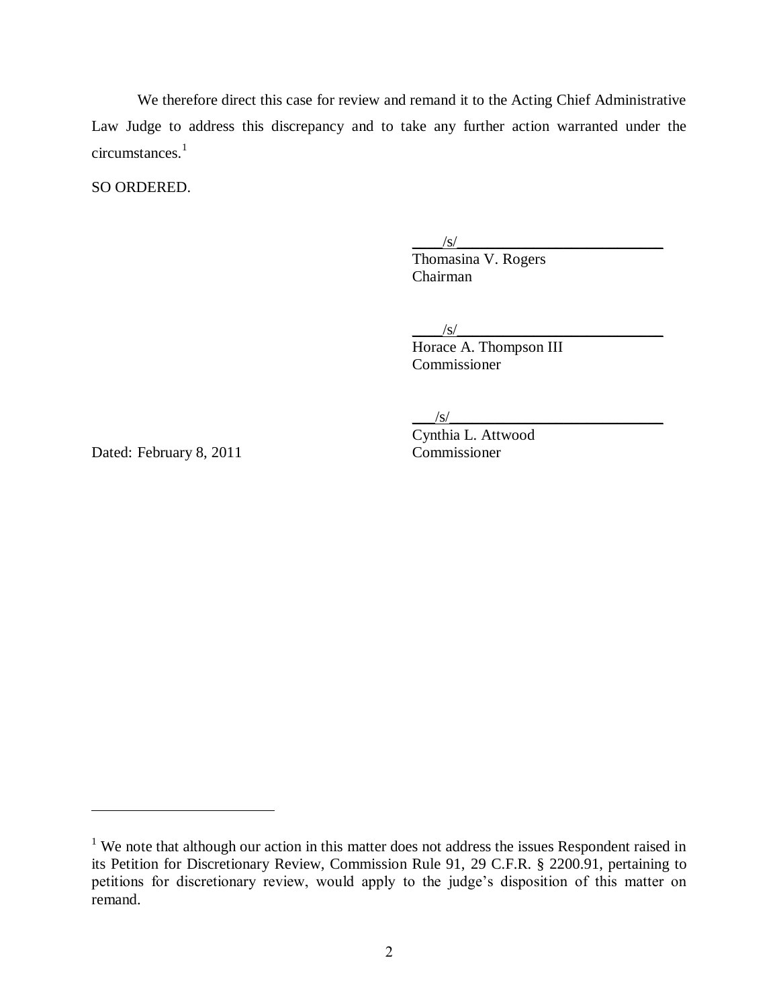We therefore direct this case for review and remand it to the Acting Chief Administrative Law Judge to address this discrepancy and to take any further action warranted under the circumstances.<sup>1</sup>

SO ORDERED.

 $\sqrt{s}/\sqrt{s}$ 

 Thomasina V. Rogers Chairman

 $/\text{S}/$ Horace A. Thompson III Commissioner

 $\sqrt{s/2}$ 

Cynthia L. Attwood

Dated: February 8, 2011 Commissioner

 $\overline{a}$ 

 $1$  We note that although our action in this matter does not address the issues Respondent raised in its Petition for Discretionary Review, Commission Rule 91, 29 C.F.R. § 2200.91, pertaining to petitions for discretionary review, would apply to the judge's disposition of this matter on remand.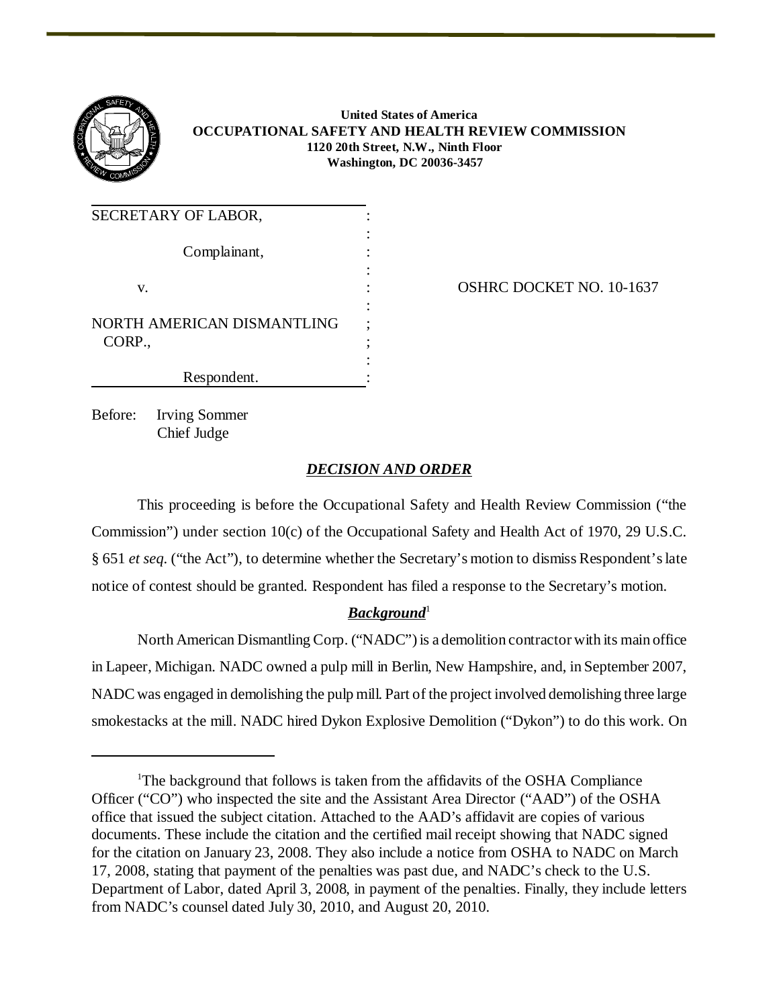

 **United States of America OCCUPATIONAL SAFETY AND HEALTH REVIEW COMMISSION 1120 20th Street, N.W., Ninth Floor Washington, DC 20036-3457** 

| SECRETARY OF LABOR,        |  |
|----------------------------|--|
| Complainant,               |  |
|                            |  |
| V.                         |  |
| NORTH AMERICAN DISMANTLING |  |
| CORP.,                     |  |
| Respondent.                |  |

OSHRC DOCKET NO. 10-1637

Before: Irving Sommer Chief Judge

## *DECISION AND ORDER*

This proceeding is before the Occupational Safety and Health Review Commission ("the Commission") under section 10(c) of the Occupational Safety and Health Act of 1970, 29 U.S.C. § 651 *et seq*. ("the Act"), to determine whether the Secretary's motion to dismiss Respondent's late notice of contest should be granted. Respondent has filed a response to the Secretary's motion.

## *Background*<sup>1</sup>

North American Dismantling Corp. ("NADC") is a demolition contractor with its main office in Lapeer, Michigan. NADC owned a pulp mill in Berlin, New Hampshire, and, in September 2007, NADC was engaged in demolishing the pulp mill. Part of the project involved demolishing three large smokestacks at the mill. NADC hired Dykon Explosive Demolition ("Dykon") to do this work. On

<sup>&</sup>lt;sup>1</sup>The background that follows is taken from the affidavits of the OSHA Compliance Officer ("CO") who inspected the site and the Assistant Area Director ("AAD") of the OSHA office that issued the subject citation. Attached to the AAD's affidavit are copies of various documents. These include the citation and the certified mail receipt showing that NADC signed for the citation on January 23, 2008. They also include a notice from OSHA to NADC on March 17, 2008, stating that payment of the penalties was past due, and NADC's check to the U.S. Department of Labor, dated April 3, 2008, in payment of the penalties. Finally, they include letters from NADC's counsel dated July 30, 2010, and August 20, 2010.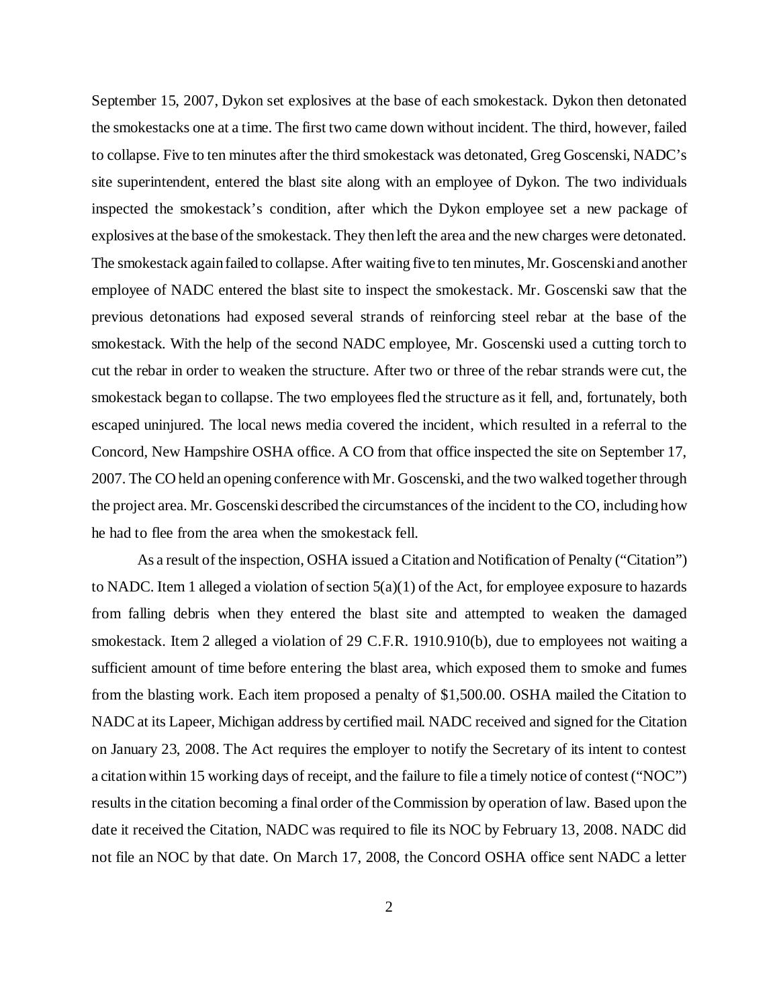September 15, 2007, Dykon set explosives at the base of each smokestack. Dykon then detonated the smokestacks one at a time. The first two came down without incident. The third, however, failed to collapse. Five to ten minutes after the third smokestack was detonated, Greg Goscenski, NADC's site superintendent, entered the blast site along with an employee of Dykon. The two individuals inspected the smokestack's condition, after which the Dykon employee set a new package of explosives at the base of the smokestack. They then left the area and the new charges were detonated. The smokestack again failed to collapse. After waiting five to ten minutes, Mr. Goscenski and another employee of NADC entered the blast site to inspect the smokestack. Mr. Goscenski saw that the previous detonations had exposed several strands of reinforcing steel rebar at the base of the smokestack. With the help of the second NADC employee, Mr. Goscenski used a cutting torch to cut the rebar in order to weaken the structure. After two or three of the rebar strands were cut, the smokestack began to collapse. The two employees fled the structure as it fell, and, fortunately, both escaped uninjured. The local news media covered the incident, which resulted in a referral to the Concord, New Hampshire OSHA office. A CO from that office inspected the site on September 17, 2007. The CO held an opening conference with Mr. Goscenski, and the two walked together through the project area. Mr. Goscenski described the circumstances of the incident to the CO, including how he had to flee from the area when the smokestack fell.

As a result of the inspection, OSHA issued a Citation and Notification of Penalty ("Citation") to NADC. Item 1 alleged a violation of section 5(a)(1) of the Act, for employee exposure to hazards from falling debris when they entered the blast site and attempted to weaken the damaged smokestack. Item 2 alleged a violation of 29 C.F.R. 1910.910(b), due to employees not waiting a sufficient amount of time before entering the blast area, which exposed them to smoke and fumes from the blasting work. Each item proposed a penalty of \$1,500.00. OSHA mailed the Citation to NADC at its Lapeer, Michigan address by certified mail. NADC received and signed for the Citation on January 23, 2008. The Act requires the employer to notify the Secretary of its intent to contest a citation within 15 working days of receipt, and the failure to file a timely notice of contest ("NOC") results in the citation becoming a final order of the Commission by operation of law. Based upon the date it received the Citation, NADC was required to file its NOC by February 13, 2008. NADC did not file an NOC by that date. On March 17, 2008, the Concord OSHA office sent NADC a letter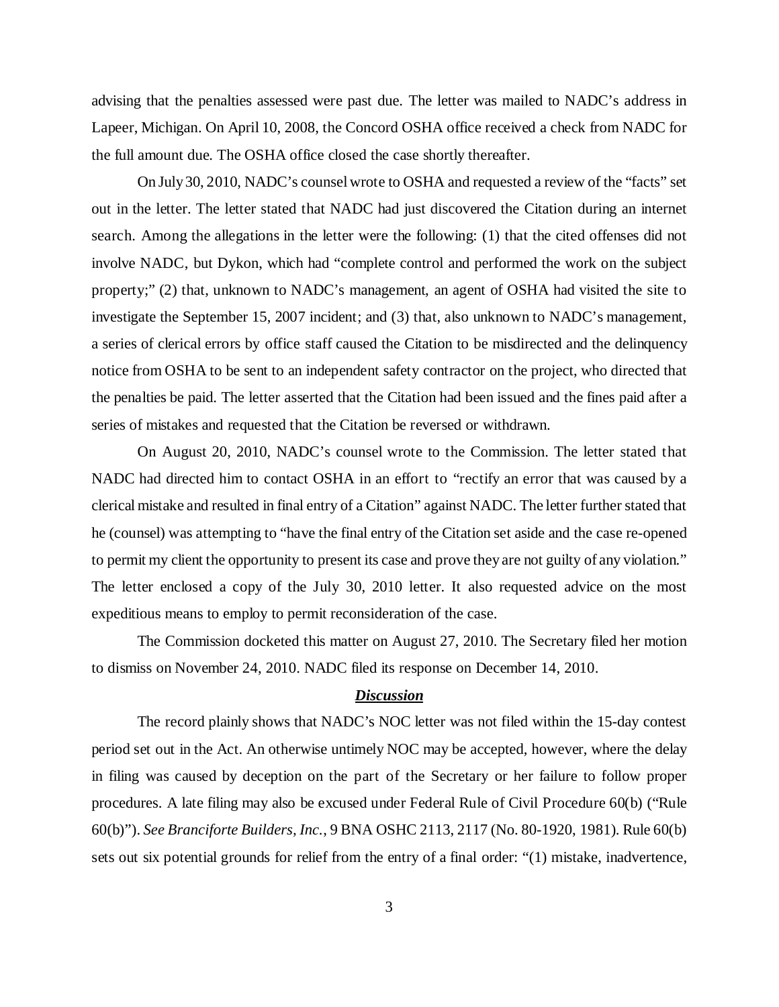advising that the penalties assessed were past due. The letter was mailed to NADC's address in Lapeer, Michigan. On April 10, 2008, the Concord OSHA office received a check from NADC for the full amount due. The OSHA office closed the case shortly thereafter.

On July 30, 2010, NADC's counsel wrote to OSHA and requested a review of the "facts" set out in the letter. The letter stated that NADC had just discovered the Citation during an internet search. Among the allegations in the letter were the following: (1) that the cited offenses did not involve NADC, but Dykon, which had "complete control and performed the work on the subject property;" (2) that, unknown to NADC's management, an agent of OSHA had visited the site to investigate the September 15, 2007 incident; and (3) that, also unknown to NADC's management, a series of clerical errors by office staff caused the Citation to be misdirected and the delinquency notice from OSHA to be sent to an independent safety contractor on the project, who directed that the penalties be paid. The letter asserted that the Citation had been issued and the fines paid after a series of mistakes and requested that the Citation be reversed or withdrawn.

On August 20, 2010, NADC's counsel wrote to the Commission. The letter stated that NADC had directed him to contact OSHA in an effort to "rectify an error that was caused by a clerical mistake and resulted in final entry of a Citation" against NADC. The letter further stated that he (counsel) was attempting to "have the final entry of the Citation set aside and the case re-opened to permit my client the opportunity to present its case and prove they are not guilty of any violation." The letter enclosed a copy of the July 30, 2010 letter. It also requested advice on the most expeditious means to employ to permit reconsideration of the case.

The Commission docketed this matter on August 27, 2010. The Secretary filed her motion to dismiss on November 24, 2010. NADC filed its response on December 14, 2010.

## *Discussion*

The record plainly shows that NADC's NOC letter was not filed within the 15-day contest period set out in the Act. An otherwise untimely NOC may be accepted, however, where the delay in filing was caused by deception on the part of the Secretary or her failure to follow proper procedures. A late filing may also be excused under Federal Rule of Civil Procedure 60(b) ("Rule 60(b)"). *See Branciforte Builders, Inc.*, 9 BNA OSHC 2113, 2117 (No. 80-1920, 1981). Rule 60(b) sets out six potential grounds for relief from the entry of a final order: "(1) mistake, inadvertence,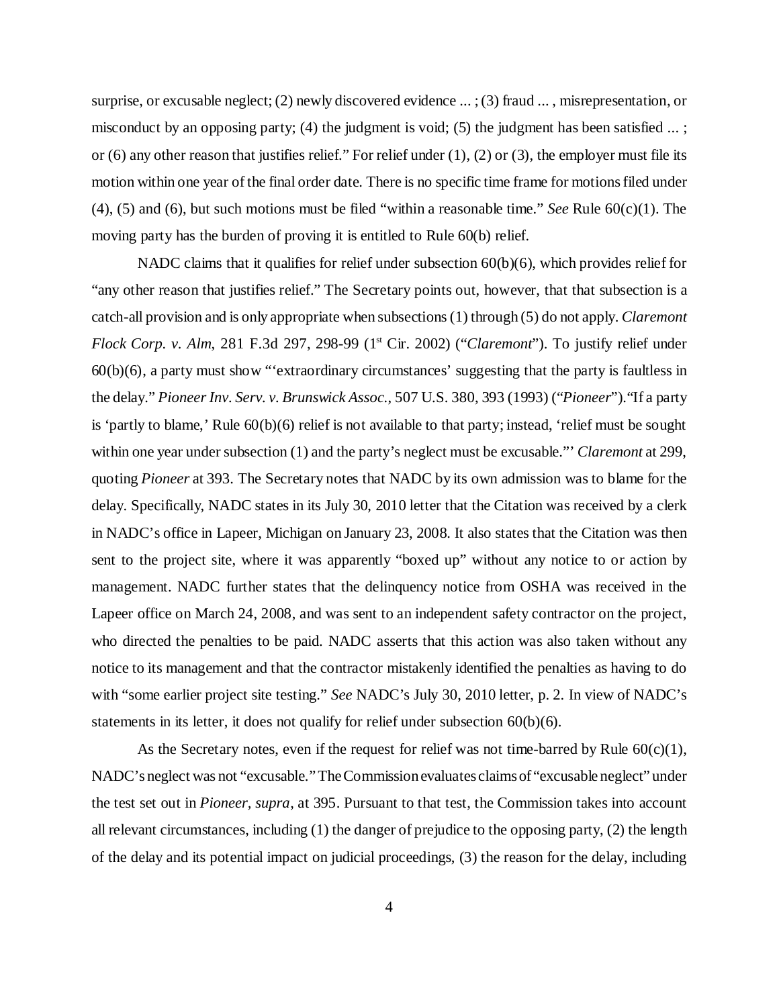surprise, or excusable neglect; (2) newly discovered evidence ... ; (3) fraud ... , misrepresentation, or misconduct by an opposing party; (4) the judgment is void; (5) the judgment has been satisfied ... ; or (6) any other reason that justifies relief." For relief under  $(1)$ ,  $(2)$  or  $(3)$ , the employer must file its motion within one year of the final order date. There is no specific time frame for motions filed under (4), (5) and (6), but such motions must be filed "within a reasonable time." *See* Rule 60(c)(1). The moving party has the burden of proving it is entitled to Rule 60(b) relief.

NADC claims that it qualifies for relief under subsection 60(b)(6), which provides relief for "any other reason that justifies relief." The Secretary points out, however, that that subsection is a catch-all provision and is only appropriate when subsections (1) through (5) do not apply. *Claremont Flock Corp. v. Alm, 281 F.3d 297, 298-99 (1<sup>st</sup> Cir. 2002) ("<i>Claremont*"). To justify relief under 60(b)(6), a party must show "'extraordinary circumstances' suggesting that the party is faultless in the delay." *Pioneer Inv. Serv. v. Brunswick Assoc.*, 507 U.S. 380, 393 (1993) ("*Pioneer*")."If a party is 'partly to blame,' Rule  $60(b)(6)$  relief is not available to that party; instead, 'relief must be sought within one year under subsection (1) and the party's neglect must be excusable."' *Claremont* at 299, quoting *Pioneer* at 393. The Secretary notes that NADC by its own admission was to blame for the delay. Specifically, NADC states in its July 30, 2010 letter that the Citation was received by a clerk in NADC's office in Lapeer, Michigan on January 23, 2008. It also states that the Citation was then sent to the project site, where it was apparently "boxed up" without any notice to or action by management. NADC further states that the delinquency notice from OSHA was received in the Lapeer office on March 24, 2008, and was sent to an independent safety contractor on the project, who directed the penalties to be paid. NADC asserts that this action was also taken without any notice to its management and that the contractor mistakenly identified the penalties as having to do with "some earlier project site testing." *See* NADC's July 30, 2010 letter, p. 2. In view of NADC's statements in its letter, it does not qualify for relief under subsection  $60(b)(6)$ .

As the Secretary notes, even if the request for relief was not time-barred by Rule  $60(c)(1)$ , NADC's neglect was not "excusable." The Commission evaluates claims of "excusable neglect" under the test set out in *Pioneer, supra*, at 395. Pursuant to that test, the Commission takes into account all relevant circumstances, including (1) the danger of prejudice to the opposing party, (2) the length of the delay and its potential impact on judicial proceedings, (3) the reason for the delay, including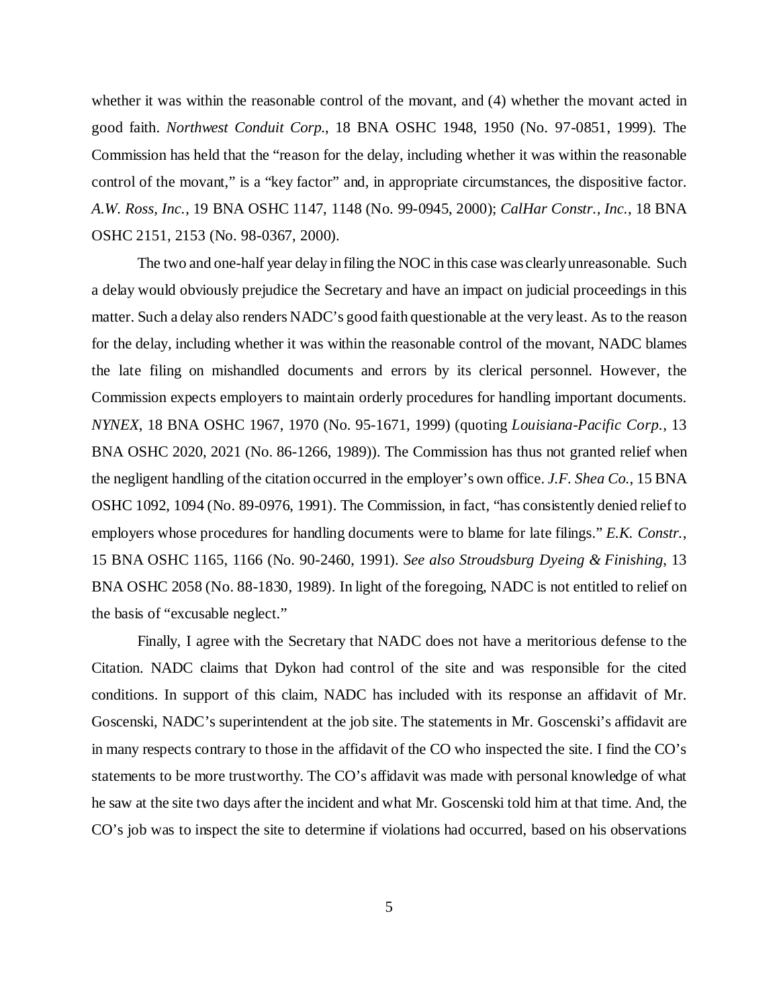whether it was within the reasonable control of the movant, and  $(4)$  whether the movant acted in good faith. *Northwest Conduit Corp.*, 18 BNA OSHC 1948, 1950 (No. 97-0851, 1999). The Commission has held that the "reason for the delay, including whether it was within the reasonable control of the movant," is a "key factor" and, in appropriate circumstances, the dispositive factor. *A.W. Ross, Inc.*, 19 BNA OSHC 1147, 1148 (No. 99-0945, 2000); *CalHar Constr., Inc.*, 18 BNA OSHC 2151, 2153 (No. 98-0367, 2000).

The two and one-half year delay in filing the NOC in this case was clearly unreasonable. Such a delay would obviously prejudice the Secretary and have an impact on judicial proceedings in this matter. Such a delay also renders NADC's good faith questionable at the very least. As to the reason for the delay, including whether it was within the reasonable control of the movant, NADC blames the late filing on mishandled documents and errors by its clerical personnel. However, the Commission expects employers to maintain orderly procedures for handling important documents. *NYNEX*, 18 BNA OSHC 1967, 1970 (No. 95-1671, 1999) (quoting *Louisiana-Pacific Corp.*, 13 BNA OSHC 2020, 2021 (No. 86-1266, 1989)). The Commission has thus not granted relief when the negligent handling of the citation occurred in the employer's own office. *J.F. Shea Co.*, 15 BNA OSHC 1092, 1094 (No. 89-0976, 1991). The Commission, in fact, "has consistently denied relief to employers whose procedures for handling documents were to blame for late filings." *E.K. Constr.*, 15 BNA OSHC 1165, 1166 (No. 90-2460, 1991). *See also Stroudsburg Dyeing & Finishing*, 13 BNA OSHC 2058 (No. 88-1830, 1989). In light of the foregoing, NADC is not entitled to relief on the basis of "excusable neglect."

Finally, I agree with the Secretary that NADC does not have a meritorious defense to the Citation. NADC claims that Dykon had control of the site and was responsible for the cited conditions. In support of this claim, NADC has included with its response an affidavit of Mr. Goscenski, NADC's superintendent at the job site. The statements in Mr. Goscenski's affidavit are in many respects contrary to those in the affidavit of the CO who inspected the site. I find the CO's statements to be more trustworthy. The CO's affidavit was made with personal knowledge of what he saw at the site two days after the incident and what Mr. Goscenski told him at that time. And, the CO's job was to inspect the site to determine if violations had occurred, based on his observations